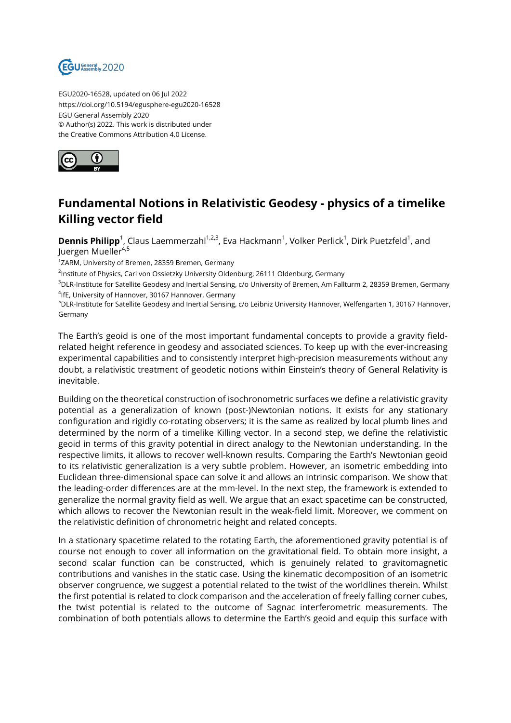

EGU2020-16528, updated on 06 Jul 2022 https://doi.org/10.5194/egusphere-egu2020-16528 EGU General Assembly 2020 © Author(s) 2022. This work is distributed under the Creative Commons Attribution 4.0 License.



## **Fundamental Notions in Relativistic Geodesy - physics of a timelike Killing vector field**

**Dennis Philipp**<sup>1</sup>, Claus Laemmerzahl<sup>1,2,3</sup>, Eva Hackmann<sup>1</sup>, Volker Perlick<sup>1</sup>, Dirk Puetzfeld<sup>1</sup>, and Juergen Mueller<sup>4,5</sup>

<sup>1</sup>ZARM, University of Bremen, 28359 Bremen, Germany

<sup>2</sup>Institute of Physics, Carl von Ossietzky University Oldenburg, 26111 Oldenburg, Germany

<sup>3</sup>DLR-Institute for Satellite Geodesy and Inertial Sensing, c/o University of Bremen, Am Fallturm 2, 28359 Bremen, Germany 4 IfE, University of Hannover, 30167 Hannover, Germany

<sup>5</sup>DLR-Institute for Satellite Geodesy and Inertial Sensing, c/o Leibniz University Hannover, Welfengarten 1, 30167 Hannover, Germany

The Earth's geoid is one of the most important fundamental concepts to provide a gravity fieldrelated height reference in geodesy and associated sciences. To keep up with the ever-increasing experimental capabilities and to consistently interpret high-precision measurements without any doubt, a relativistic treatment of geodetic notions within Einstein's theory of General Relativity is inevitable.

Building on the theoretical construction of isochronometric surfaces we define a relativistic gravity potential as a generalization of known (post-)Newtonian notions. It exists for any stationary configuration and rigidly co-rotating observers; it is the same as realized by local plumb lines and determined by the norm of a timelike Killing vector. In a second step, we define the relativistic geoid in terms of this gravity potential in direct analogy to the Newtonian understanding. In the respective limits, it allows to recover well-known results. Comparing the Earth's Newtonian geoid to its relativistic generalization is a very subtle problem. However, an isometric embedding into Euclidean three-dimensional space can solve it and allows an intrinsic comparison. We show that the leading-order differences are at the mm-level. In the next step, the framework is extended to generalize the normal gravity field as well. We argue that an exact spacetime can be constructed, which allows to recover the Newtonian result in the weak-field limit. Moreover, we comment on the relativistic definition of chronometric height and related concepts.

In a stationary spacetime related to the rotating Earth, the aforementioned gravity potential is of course not enough to cover all information on the gravitational field. To obtain more insight, a second scalar function can be constructed, which is genuinely related to gravitomagnetic contributions and vanishes in the static case. Using the kinematic decomposition of an isometric observer congruence, we suggest a potential related to the twist of the worldlines therein. Whilst the first potential is related to clock comparison and the acceleration of freely falling corner cubes, the twist potential is related to the outcome of Sagnac interferometric measurements. The combination of both potentials allows to determine the Earth's geoid and equip this surface with